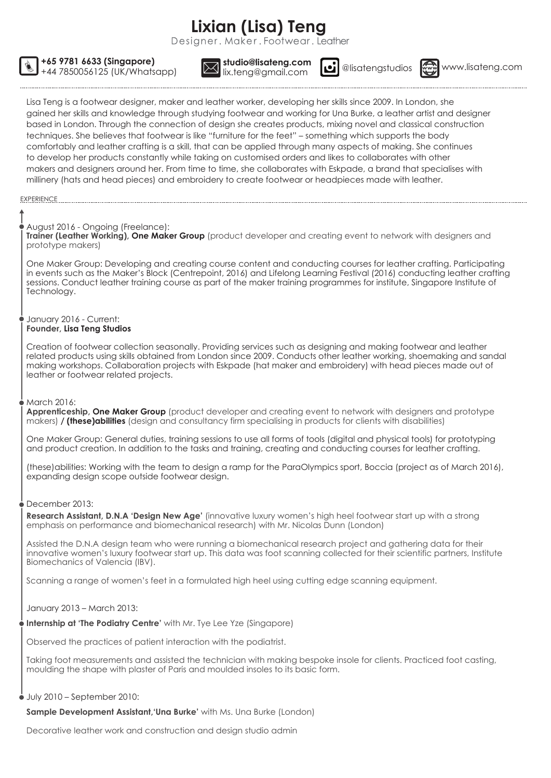# **Lixian (Lisa) Teng**

Desianer, Maker, Footwear, Leather

studio@lisateng.com<br>lix.teng@gmail.com @ @lisatengstudios



+44 7850056125 (UK/Whatsapp) **Warehous Community.com with all elisatengstudios** www.lisateng.com

Lisa Teng is a footwear designer, maker and leather worker, developing her skills since 2009. In London, she gained her skills and knowledge through studying footwear and working for Una Burke, a leather artist and designer based in London. Through the connection of design she creates products, mixing novel and classical construction techniques. She believes that footwear is like "furniture for the feet" – something which supports the body comfortably and leather crafting is a skill, that can be applied through many aspects of making. She continues to develop her products constantly while taking on customised orders and likes to collaborates with other makers and designers around her. From time to time, she collaborates with Eskpade, a brand that specialises with millinery (hats and head pieces) and embroidery to create footwear or headpieces made with leather.

#### EXPERIENCE

# August 2016 - Ongoing (Freelance):

**+65 9781 6633 (Singapore) studio@lisateng.com**

**Trainer (Leather Working), One Maker Group** (product developer and creating event to network with designers and prototype makers)

One Maker Group: Developing and creating course content and conducting courses for leather crafting. Participating in events such as the Maker's Block (Centrepoint, 2016) and Lifelong Learning Festival (2016) conducting leather crafting sessions. Conduct leather training course as part of the maker training programmes for institute, Singapore Institute of Technology.

#### January 2016 - Current: **Founder, Lisa Teng Studios**

Creation of footwear collection seasonally. Providing services such as designing and making footwear and leather related products using skills obtained from London since 2009. Conducts other leather working, shoemaking and sandal making workshops. Collaboration projects with Eskpade (hat maker and embroidery) with head pieces made out of leather or footwear related projects.

# March 2016:

**Apprenticeship, One Maker Group** (product developer and creating event to network with designers and prototype makers) **/ (these)abilities** (design and consultancy firm specialising in products for clients with disabilities)

One Maker Group: General duties, training sessions to use all forms of tools (digital and physical tools) for prototyping and product creation. In addition to the tasks and training, creating and conducting courses for leather crafting.

(these)abilities: Working with the team to design a ramp for the ParaOlympics sport, Boccia (project as of March 2016), expanding design scope outside footwear design.

# December 2013:

**Research Assistant, D.N.A 'Design New Age'** (innovative luxury women's high heel footwear start up with a strong emphasis on performance and biomechanical research) with Mr. Nicolas Dunn (London)

Assisted the D.N.A design team who were running a biomechanical research project and gathering data for their innovative women's luxury footwear start up. This data was foot scanning collected for their scientific partners, Institute Biomechanics of Valencia (IBV).

Scanning a range of women's feet in a formulated high heel using cutting edge scanning equipment.

# January 2013 – March 2013:

**Internship at 'The Podiatry Centre'** with Mr. Tye Lee Yze (Singapore)

Observed the practices of patient interaction with the podiatrist.

Taking foot measurements and assisted the technician with making bespoke insole for clients. Practiced foot casting, moulding the shape with plaster of Paris and moulded insoles to its basic form.

# $\bullet$  July 2010 – September 2010:

**Sample Development Assistant,'Una Burke'** with Ms. Una Burke (London)

Decorative leather work and construction and design studio admin